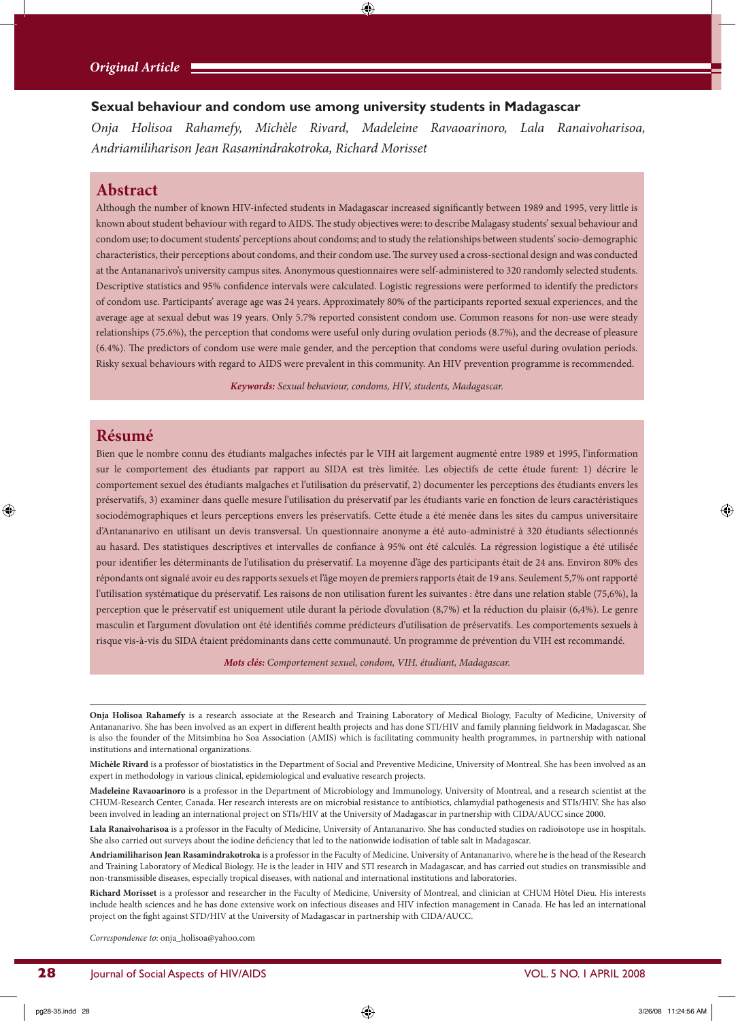#### *Original Article*

#### **Sexual behaviour and condom use among university students in Madagascar**

*Onja Holisoa Rahamefy, Michèle Rivard, Madeleine Ravaoarinoro, Lala Ranaivoharisoa, Andriamiliharison Jean Rasamindrakotroka, Richard Morisset*

⊕

#### **Abstract**

Although the number of known HIV-infected students in Madagascar increased significantly between 1989 and 1995, very little is known about student behaviour with regard to AIDS. The study objectives were: to describe Malagasy students' sexual behaviour and condom use; to document students' perceptions about condoms; and to study the relationships between students' socio-demographic characteristics, their perceptions about condoms, and their condom use. The survey used a cross-sectional design and was conducted at the Antananarivo's university campus sites. Anonymous questionnaires were self-administered to 320 randomly selected students. Descriptive statistics and 95% confidence intervals were calculated. Logistic regressions were performed to identify the predictors of condom use. Participants' average age was 24 years. Approximately 80% of the participants reported sexual experiences, and the average age at sexual debut was 19 years. Only 5.7% reported consistent condom use. Common reasons for non-use were steady relationships (75.6%), the perception that condoms were useful only during ovulation periods (8.7%), and the decrease of pleasure (6.4%). The predictors of condom use were male gender, and the perception that condoms were useful during ovulation periods. Risky sexual behaviours with regard to AIDS were prevalent in this community. An HIV prevention programme is recommended.

*Keywords: Sexual behaviour, condoms, HIV, students, Madagascar.*

#### **Résumé**

⊕

Bien que le nombre connu des étudiants malgaches infectés par le VIH ait largement augmenté entre 1989 et 1995, l'information sur le comportement des étudiants par rapport au SIDA est très limitée. Les objectifs de cette étude furent: 1) décrire le comportement sexuel des étudiants malgaches et l'utilisation du préservatif, 2) documenter les perceptions des étudiants envers les préservatifs, 3) examiner dans quelle mesure l'utilisation du préservatif par les étudiants varie en fonction de leurs caractéristiques sociodémographiques et leurs perceptions envers les préservatifs. Cette étude a été menée dans les sites du campus universitaire d'Antananarivo en utilisant un devis transversal. Un questionnaire anonyme a été auto-administré à 320 étudiants sélectionnés au hasard. Des statistiques descriptives et intervalles de confiance à 95% ont été calculés. La régression logistique a été utilisée pour identifier les déterminants de l'utilisation du préservatif. La moyenne d'âge des participants était de 24 ans. Environ 80% des répondants ont signalé avoir eu des rapports sexuels et l'âge moyen de premiers rapports était de 19 ans. Seulement 5,7% ont rapporté l'utilisation systématique du préservatif. Les raisons de non utilisation furent les suivantes : être dans une relation stable (75,6%), la perception que le préservatif est uniquement utile durant la période d'ovulation (8,7%) et la réduction du plaisir (6,4%). Le genre masculin et l'argument d'ovulation ont été identifiés comme prédicteurs d'utilisation de préservatifs. Les comportements sexuels à risque vis-à-vis du SIDA étaient prédominants dans cette communauté. Un programme de prévention du VIH est recommandé.

*Mots clés: Comportement sexuel, condom, VIH, étudiant, Madagascar.*

**Onja Holisoa Rahamefy** is a research associate at the Research and Training Laboratory of Medical Biology, Faculty of Medicine, University of Antananarivo. She has been involved as an expert in different health projects and has done STI/HIV and family planning fieldwork in Madagascar. She is also the founder of the Mitsimbina ho Soa Association (AMIS) which is facilitating community health programmes, in partnership with national institutions and international organizations.

**Michèle Rivard** is a professor of biostatistics in the Department of Social and Preventive Medicine, University of Montreal. She has been involved as an expert in methodology in various clinical, epidemiological and evaluative research projects.

**Madeleine Ravaoarinoro** is a professor in the Department of Microbiology and Immunology, University of Montreal, and a research scientist at the CHUM-Research Center, Canada. Her research interests are on microbial resistance to antibiotics, chlamydial pathogenesis and STIs/HIV. She has also been involved in leading an international project on STIs/HIV at the University of Madagascar in partnership with CIDA/AUCC since 2000.

**Lala Ranaivoharisoa** is a professor in the Faculty of Medicine, University of Antananarivo. She has conducted studies on radioisotope use in hospitals. She also carried out surveys about the iodine deficiency that led to the nationwide iodisation of table salt in Madagascar.

**Andriamiliharison Jean Rasamindrakotroka** is a professor in the Faculty of Medicine, University of Antananarivo, where he is the head of the Research and Training Laboratory of Medical Biology. He is the leader in HIV and STI research in Madagascar, and has carried out studies on transmissible and non-transmissible diseases, especially tropical diseases, with national and international institutions and laboratories.

**Richard Morisset** is a professor and researcher in the Faculty of Medicine, University of Montreal, and clinician at CHUM Hôtel Dieu. His interests include health sciences and he has done extensive work on infectious diseases and HIV infection management in Canada. He has led an international project on the fight against STD/HIV at the University of Madagascar in partnership with CIDA/AUCC.

*Correspondence to*: onja\_holisoa@yahoo.com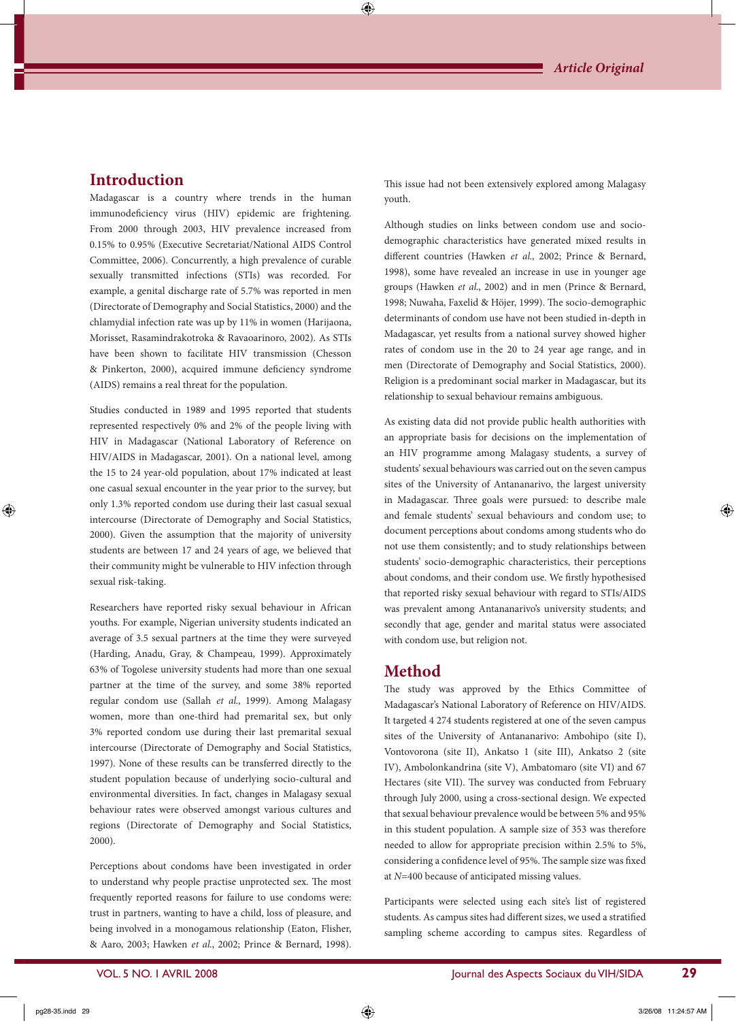# **Introduction**

Madagascar is a country where trends in the human immunodeficiency virus (HIV) epidemic are frightening. From 2000 through 2003, HIV prevalence increased from 0.15% to 0.95% (Executive Secretariat/National AIDS Control Committee, 2006). Concurrently, a high prevalence of curable sexually transmitted infections (STIs) was recorded. For example, a genital discharge rate of 5.7% was reported in men (Directorate of Demography and Social Statistics, 2000) and the chlamydial infection rate was up by 11% in women (Harijaona, Morisset, Rasamindrakotroka & Ravaoarinoro, 2002). As STIs have been shown to facilitate HIV transmission (Chesson & Pinkerton, 2000), acquired immune deficiency syndrome (AIDS) remains a real threat for the population.

Studies conducted in 1989 and 1995 reported that students represented respectively 0% and 2% of the people living with HIV in Madagascar (National Laboratory of Reference on HIV/AIDS in Madagascar, 2001). On a national level, among the 15 to 24 year-old population, about 17% indicated at least one casual sexual encounter in the year prior to the survey, but only 1.3% reported condom use during their last casual sexual intercourse (Directorate of Demography and Social Statistics, 2000). Given the assumption that the majority of university students are between 17 and 24 years of age, we believed that their community might be vulnerable to HIV infection through sexual risk-taking.

Researchers have reported risky sexual behaviour in African youths. For example, Nigerian university students indicated an average of 3.5 sexual partners at the time they were surveyed (Harding, Anadu, Gray, & Champeau, 1999). Approximately 63% of Togolese university students had more than one sexual partner at the time of the survey, and some 38% reported regular condom use (Sallah *et al*., 1999). Among Malagasy women, more than one-third had premarital sex, but only 3% reported condom use during their last premarital sexual intercourse (Directorate of Demography and Social Statistics, 1997). None of these results can be transferred directly to the student population because of underlying socio-cultural and environmental diversities. In fact, changes in Malagasy sexual behaviour rates were observed amongst various cultures and regions (Directorate of Demography and Social Statistics, 2000).

Perceptions about condoms have been investigated in order to understand why people practise unprotected sex. The most frequently reported reasons for failure to use condoms were: trust in partners, wanting to have a child, loss of pleasure, and being involved in a monogamous relationship (Eaton, Flisher, & Aaro, 2003; Hawken *et al*., 2002; Prince & Bernard, 1998). This issue had not been extensively explored among Malagasy youth.

Although studies on links between condom use and sociodemographic characteristics have generated mixed results in different countries (Hawken *et al*., 2002; Prince & Bernard, 1998), some have revealed an increase in use in younger age groups (Hawken *et al*., 2002) and in men (Prince & Bernard, 1998; Nuwaha, Faxelid & Höjer, 1999). The socio-demographic determinants of condom use have not been studied in-depth in Madagascar, yet results from a national survey showed higher rates of condom use in the 20 to 24 year age range, and in men (Directorate of Demography and Social Statistics, 2000). Religion is a predominant social marker in Madagascar, but its relationship to sexual behaviour remains ambiguous.

As existing data did not provide public health authorities with an appropriate basis for decisions on the implementation of an HIV programme among Malagasy students, a survey of students' sexual behaviours was carried out on the seven campus sites of the University of Antananarivo, the largest university in Madagascar. Three goals were pursued: to describe male and female students' sexual behaviours and condom use; to document perceptions about condoms among students who do not use them consistently; and to study relationships between students' socio-demographic characteristics, their perceptions about condoms, and their condom use. We firstly hypothesised that reported risky sexual behaviour with regard to STIs/AIDS was prevalent among Antananarivo's university students; and secondly that age, gender and marital status were associated with condom use, but religion not.

### **Method**

 $\bigoplus$ 

The study was approved by the Ethics Committee of Madagascar's National Laboratory of Reference on HIV/AIDS. It targeted 4 274 students registered at one of the seven campus sites of the University of Antananarivo: Ambohipo (site I), Vontovorona (site II), Ankatso 1 (site III), Ankatso 2 (site IV), Ambolonkandrina (site V), Ambatomaro (site VI) and 67 Hectares (site VII). The survey was conducted from February through July 2000, using a cross-sectional design. We expected that sexual behaviour prevalence would be between 5% and 95% in this student population. A sample size of 353 was therefore needed to allow for appropriate precision within 2.5% to 5%, considering a confidence level of 95%. The sample size was fixed at *N=*400 because of anticipated missing values.

Participants were selected using each site's list of registered students. As campus sites had different sizes, we used a stratified sampling scheme according to campus sites. Regardless of ⊕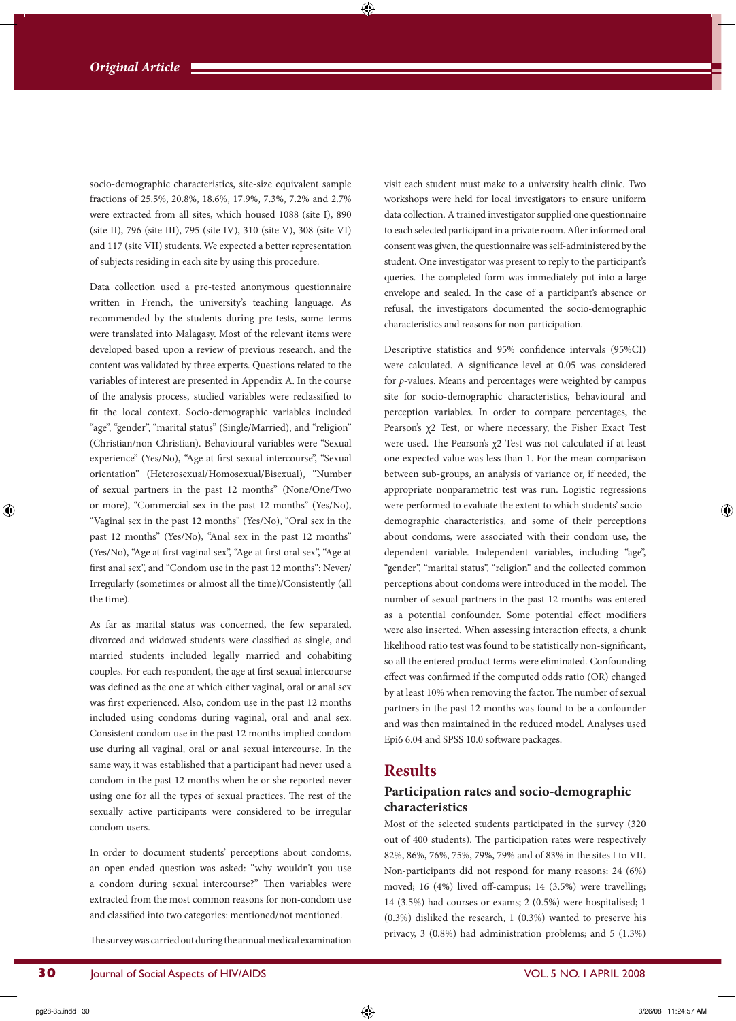socio-demographic characteristics, site-size equivalent sample fractions of 25.5%, 20.8%, 18.6%, 17.9%, 7.3%, 7.2% and 2.7% were extracted from all sites, which housed 1088 (site I), 890 (site II), 796 (site III), 795 (site IV), 310 (site V), 308 (site VI) and 117 (site VII) students. We expected a better representation of subjects residing in each site by using this procedure.

⊕

Data collection used a pre-tested anonymous questionnaire written in French, the university's teaching language. As recommended by the students during pre-tests, some terms were translated into Malagasy. Most of the relevant items were developed based upon a review of previous research, and the content was validated by three experts. Questions related to the variables of interest are presented in Appendix A. In the course of the analysis process, studied variables were reclassified to fit the local context. Socio-demographic variables included "age", "gender", "marital status" (Single/Married), and "religion" (Christian/non-Christian). Behavioural variables were "Sexual experience" (Yes/No), "Age at first sexual intercourse", "Sexual orientation" (Heterosexual/Homosexual/Bisexual), "Number of sexual partners in the past 12 months" (None/One/Two or more), "Commercial sex in the past 12 months" (Yes/No), "Vaginal sex in the past 12 months" (Yes/No), "Oral sex in the past 12 months" (Yes/No), "Anal sex in the past 12 months" (Yes/No), "Age at first vaginal sex", "Age at first oral sex", "Age at first anal sex", and "Condom use in the past 12 months": Never/ Irregularly (sometimes or almost all the time)/Consistently (all the time).

As far as marital status was concerned, the few separated, divorced and widowed students were classified as single, and married students included legally married and cohabiting couples. For each respondent, the age at first sexual intercourse was defined as the one at which either vaginal, oral or anal sex was first experienced. Also, condom use in the past 12 months included using condoms during vaginal, oral and anal sex. Consistent condom use in the past 12 months implied condom use during all vaginal, oral or anal sexual intercourse. In the same way, it was established that a participant had never used a condom in the past 12 months when he or she reported never using one for all the types of sexual practices. The rest of the sexually active participants were considered to be irregular condom users.

In order to document students' perceptions about condoms, an open-ended question was asked: "why wouldn't you use a condom during sexual intercourse?" Then variables were extracted from the most common reasons for non-condom use and classified into two categories: mentioned/not mentioned.

The survey was carried out during the annual medical examination

visit each student must make to a university health clinic. Two workshops were held for local investigators to ensure uniform data collection. A trained investigator supplied one questionnaire to each selected participant in a private room. After informed oral consent was given, the questionnaire was self-administered by the student. One investigator was present to reply to the participant's queries. The completed form was immediately put into a large envelope and sealed. In the case of a participant's absence or refusal, the investigators documented the socio-demographic characteristics and reasons for non-participation.

Descriptive statistics and 95% confidence intervals (95%CI) were calculated. A significance level at 0.05 was considered for *p*-values. Means and percentages were weighted by campus site for socio-demographic characteristics, behavioural and perception variables. In order to compare percentages, the Pearson's χ2 Test, or where necessary, the Fisher Exact Test were used. The Pearson's χ2 Test was not calculated if at least one expected value was less than 1. For the mean comparison between sub-groups, an analysis of variance or, if needed, the appropriate nonparametric test was run. Logistic regressions were performed to evaluate the extent to which students' sociodemographic characteristics, and some of their perceptions about condoms, were associated with their condom use, the dependent variable. Independent variables, including "age", "gender", "marital status", "religion" and the collected common perceptions about condoms were introduced in the model. The number of sexual partners in the past 12 months was entered as a potential confounder. Some potential effect modifiers were also inserted. When assessing interaction effects, a chunk likelihood ratio test was found to be statistically non-significant, so all the entered product terms were eliminated. Confounding effect was confirmed if the computed odds ratio (OR) changed by at least 10% when removing the factor. The number of sexual partners in the past 12 months was found to be a confounder and was then maintained in the reduced model. Analyses used Epi6 6.04 and SPSS 10.0 software packages.

## **Results**

### **Participation rates and socio-demographic characteristics**

Most of the selected students participated in the survey (320 out of 400 students). The participation rates were respectively 82%, 86%, 76%, 75%, 79%, 79% and of 83% in the sites I to VII. Non-participants did not respond for many reasons: 24 (6%) moved; 16 (4%) lived off-campus; 14 (3.5%) were travelling; 14 (3.5%) had courses or exams; 2 (0.5%) were hospitalised; 1 (0.3%) disliked the research, 1 (0.3%) wanted to preserve his privacy, 3 (0.8%) had administration problems; and 5 (1.3%)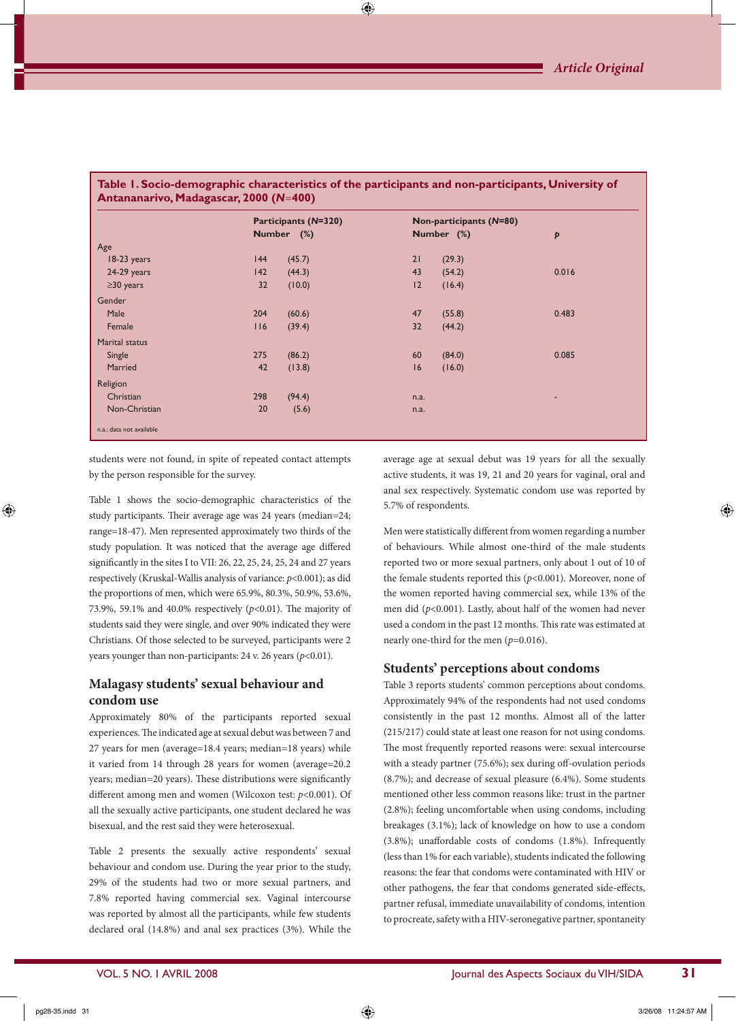|                 | Participants (N=320) |            |            | Non-participants (N=80) |       |  |  |  |
|-----------------|----------------------|------------|------------|-------------------------|-------|--|--|--|
|                 |                      | Number (%) | Number (%) | p                       |       |  |  |  |
| Age             |                      |            |            |                         |       |  |  |  |
| 18-23 years     | 44                   | (45.7)     | 21         | (29.3)                  |       |  |  |  |
| 24-29 years     | 142                  | (44.3)     | 43         | (54.2)                  | 0.016 |  |  |  |
| $\geq$ 30 years | 32                   | (10.0)     | 12         | (16.4)                  |       |  |  |  |
| Gender          |                      |            |            |                         |       |  |  |  |
| Male            | 204                  | (60.6)     | 47         | (55.8)                  | 0.483 |  |  |  |
| Female          | 116                  | (39.4)     | 32         | (44.2)                  |       |  |  |  |
| Marital status  |                      |            |            |                         |       |  |  |  |
| Single          | 275                  | (86.2)     | 60         | (84.0)                  | 0.085 |  |  |  |
| Married         | 42                   | (13.8)     | 16         | (16.0)                  |       |  |  |  |
| Religion        |                      |            |            |                         |       |  |  |  |
| Christian       | 298                  | (94.4)     | n.a.       |                         | ٠     |  |  |  |
| Non-Christian   | 20                   | (5.6)      | n.a.       |                         |       |  |  |  |

**Table 1. Socio-demographic characteristics of the participants and non-participants, University of** 

 $\bigoplus$ 

students were not found, in spite of repeated contact attempts by the person responsible for the survey.

Table 1 shows the socio-demographic characteristics of the study participants. Their average age was 24 years (median*=*24; range=18-47). Men represented approximately two thirds of the study population. It was noticed that the average age differed significantly in the sites I to VII: 26, 22, 25, 24, 25, 24 and 27 years respectively (Kruskal-Wallis analysis of variance: *p*<0.001); as did the proportions of men, which were 65.9%, 80.3%, 50.9%, 53.6%, 73.9%, 59.1% and 40.0% respectively  $(p<0.01)$ . The majority of students said they were single, and over 90% indicated they were Christians. Of those selected to be surveyed, participants were 2 years younger than non-participants: 24 v. 26 years (*p*<0.01).

#### **Malagasy students' sexual behaviour and condom use**

Approximately 80% of the participants reported sexual experiences. The indicated age at sexual debut was between 7 and 27 years for men (average=18.4 years; median*=*18 years) while it varied from 14 through 28 years for women (average=20.2 years; median*=*20 years). These distributions were significantly different among men and women (Wilcoxon test: *p*<0.001). Of all the sexually active participants, one student declared he was bisexual, and the rest said they were heterosexual.

Table 2 presents the sexually active respondents' sexual behaviour and condom use. During the year prior to the study, 29% of the students had two or more sexual partners, and 7.8% reported having commercial sex. Vaginal intercourse was reported by almost all the participants, while few students declared oral (14.8%) and anal sex practices (3%). While the

average age at sexual debut was 19 years for all the sexually active students, it was 19, 21 and 20 years for vaginal, oral and anal sex respectively. Systematic condom use was reported by 5.7% of respondents.

Men were statistically different from women regarding a number of behaviours. While almost one-third of the male students reported two or more sexual partners, only about 1 out of 10 of the female students reported this (*p*<0.001). Moreover, none of the women reported having commercial sex, while 13% of the men did (*p*<0.001). Lastly, about half of the women had never used a condom in the past 12 months. This rate was estimated at nearly one-third for the men (*p*=0.016).

#### **Students' perceptions about condoms**

Table 3 reports students' common perceptions about condoms. Approximately 94% of the respondents had not used condoms consistently in the past 12 months. Almost all of the latter (215/217) could state at least one reason for not using condoms. The most frequently reported reasons were: sexual intercourse with a steady partner (75.6%); sex during off-ovulation periods (8.7%); and decrease of sexual pleasure (6.4%). Some students mentioned other less common reasons like: trust in the partner (2.8%); feeling uncomfortable when using condoms, including breakages (3.1%); lack of knowledge on how to use a condom (3.8%); unaffordable costs of condoms (1.8%). Infrequently (less than 1% for each variable), students indicated the following reasons: the fear that condoms were contaminated with HIV or other pathogens, the fear that condoms generated side-effects, partner refusal, immediate unavailability of condoms, intention to procreate, safety with a HIV-seronegative partner, spontaneity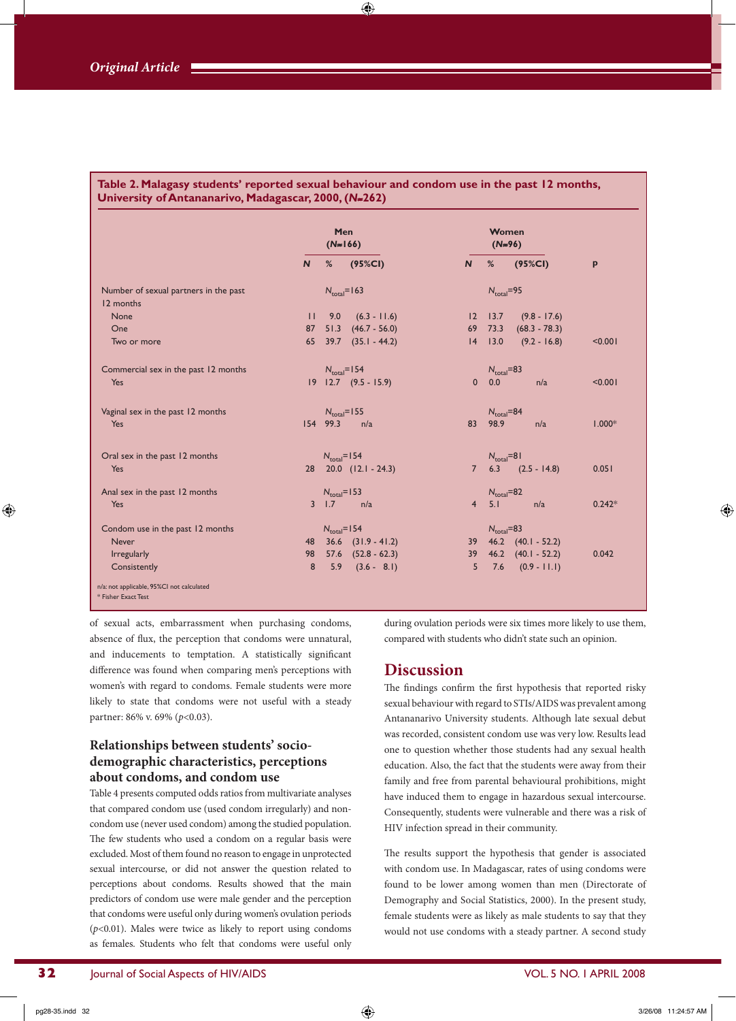|                                                       | Table 2. Malagasy students' reported sexual behaviour and condom use in the past 12 months, |  |
|-------------------------------------------------------|---------------------------------------------------------------------------------------------|--|
| University of Antananarivo, Madagascar, 2000, (N≈262) |                                                                                             |  |

⊕

|                                           | Men<br>$(N \approx 166)$ |                          | Women<br>$(N \approx 96)$  |             |                         |                            |          |
|-------------------------------------------|--------------------------|--------------------------|----------------------------|-------------|-------------------------|----------------------------|----------|
|                                           | $\mathbf N$              | %                        | (95%CI)                    | $\mathbf N$ | %                       | (95%CI)                    | P        |
| Number of sexual partners in the past     |                          | $N_{\text{total}}$ =163  |                            |             | $N_{\text{total}}$ =95  |                            |          |
| 12 months                                 |                          |                          |                            |             |                         |                            |          |
| None                                      | $\mathbf{H}$             |                          | $9.0\qquad(6.3 - 11.6)$    |             |                         | $12$ $13.7$ $(9.8 - 17.6)$ |          |
| One                                       | 87                       |                          | $51.3$ $(46.7 - 56.0)$     | 69          | 73.3                    | $(68.3 - 78.3)$            |          |
| Two or more                               |                          |                          | 65 39.7 $(35.1 - 44.2)$    |             | $14$ $13.0$             | $(9.2 - 16.8)$             | < 0.001  |
| Commercial sex in the past 12 months      |                          | $N_{\text{total}}$ =154  |                            |             | $N_{\text{total}}$ =83  |                            |          |
| Yes                                       |                          |                          | $19$ $12.7$ $(9.5 - 15.9)$ |             | $0 \t 0.0$              | n/a                        | < 0.001  |
| Vaginal sex in the past 12 months         |                          | $N_{\text{total}}$ =155  |                            |             | $N_{\text{total}} = 84$ |                            |          |
| Yes                                       |                          | 154 99.3                 | n/a                        | 83          | 98.9                    | n/a                        | $1.000*$ |
| Oral sex in the past 12 months            |                          | $N_{\text{total}} = 154$ |                            |             | $N_{\text{total}} = 81$ |                            |          |
| Yes                                       |                          |                          | 28 20.0 (12.1 - 24.3)      |             |                         | $7, 6.3, (2.5 - 14.8)$     | 0.051    |
| Anal sex in the past 12 months            |                          | $N_{\text{total}}$ =153  |                            |             | $N_{\text{total}}$ =82  |                            |          |
| Yes                                       |                          |                          | $3 \quad 1.7 \quad n/a$    |             | $4 \quad 5.1$           | n/a                        | $0.242*$ |
| Condom use in the past 12 months          |                          | $N_{\text{total}}$ =154  |                            |             | $N_{\text{total}}$ =83  |                            |          |
| Never                                     |                          |                          | 48 36.6 (31.9 - 41.2)      |             |                         | 39 46.2 (40.1 - 52.2)      |          |
| <b>Irregularly</b>                        | 98                       |                          | $57.6$ $(52.8 - 62.3)$     | 39          |                         | $46.2$ $(40.1 - 52.2)$     | 0.042    |
| Consistently                              | 8                        |                          | $5.9$ $(3.6 - 8.1)$        | 5           | 7.6                     | $(0.9 - 11.1)$             |          |
| n/a: not applicable, 95%CI not calculated |                          |                          |                            |             |                         |                            |          |
| * Fisher Exact Test                       |                          |                          |                            |             |                         |                            |          |

of sexual acts, embarrassment when purchasing condoms, absence of flux, the perception that condoms were unnatural, and inducements to temptation. A statistically significant difference was found when comparing men's perceptions with women's with regard to condoms. Female students were more likely to state that condoms were not useful with a steady partner: 86% v. 69% (*p*<0.03).

# **Relationships between students' sociodemographic characteristics, perceptions about condoms, and condom use**

Table 4 presents computed odds ratios from multivariate analyses that compared condom use (used condom irregularly) and noncondom use (never used condom) among the studied population. The few students who used a condom on a regular basis were excluded. Most of them found no reason to engage in unprotected sexual intercourse, or did not answer the question related to perceptions about condoms. Results showed that the main predictors of condom use were male gender and the perception that condoms were useful only during women's ovulation periods  $(p<0.01)$ . Males were twice as likely to report using condoms as females. Students who felt that condoms were useful only during ovulation periods were six times more likely to use them, compared with students who didn't state such an opinion.

### **Discussion**

The findings confirm the first hypothesis that reported risky sexual behaviour with regard to STIs/AIDS was prevalent among Antananarivo University students. Although late sexual debut was recorded, consistent condom use was very low. Results lead one to question whether those students had any sexual health education. Also, the fact that the students were away from their family and free from parental behavioural prohibitions, might have induced them to engage in hazardous sexual intercourse. Consequently, students were vulnerable and there was a risk of HIV infection spread in their community.

The results support the hypothesis that gender is associated with condom use. In Madagascar, rates of using condoms were found to be lower among women than men (Directorate of Demography and Social Statistics, 2000). In the present study, female students were as likely as male students to say that they would not use condoms with a steady partner. A second study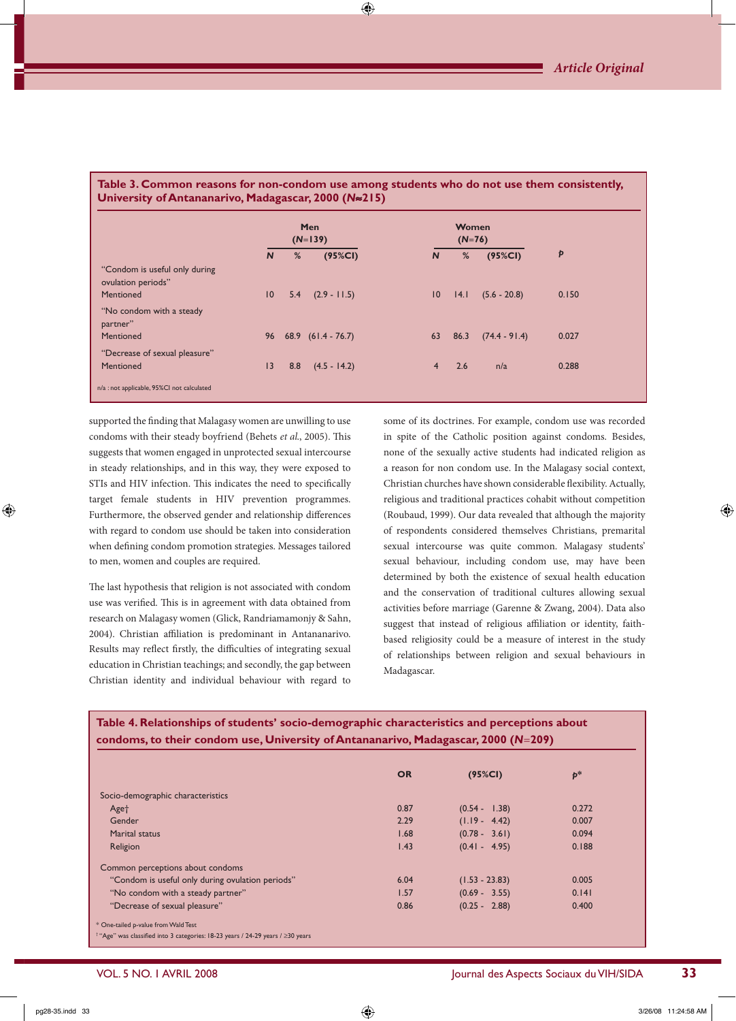|                                                                         | Men<br>$(N=139)$ |     |                         |                |      |                 |       |
|-------------------------------------------------------------------------|------------------|-----|-------------------------|----------------|------|-----------------|-------|
|                                                                         | N                | %   | $(95\%CI)$              | $\mathsf{N}$   | %    | $(95\%CI)$      | p     |
| "Condom is useful only during<br>ovulation periods"<br><b>Mentioned</b> | $\overline{10}$  | 5.4 | $(2.9 - 11.5)$          | 10             | 4.1  | $(5.6 - 20.8)$  | 0.150 |
| "No condom with a steady<br>partner"<br>Mentioned                       |                  |     | $96$ 68.9 (61.4 - 76.7) | 63             | 86.3 | $(74.4 - 91.4)$ | 0.027 |
| "Decrease of sexual pleasure"<br>Mentioned                              | 3                | 8.8 | $(4.5 - 14.2)$          | $\overline{4}$ | 2.6  | n/a             | 0.288 |

**Table 3. Common reasons for non-condom use among students who do not use them consistently,** 

 $\bigoplus$ 

supported the finding that Malagasy women are unwilling to use condoms with their steady boyfriend (Behets *et al*., 2005). This suggests that women engaged in unprotected sexual intercourse in steady relationships, and in this way, they were exposed to STIs and HIV infection. This indicates the need to specifically target female students in HIV prevention programmes. Furthermore, the observed gender and relationship differences with regard to condom use should be taken into consideration when defining condom promotion strategies. Messages tailored to men, women and couples are required.

The last hypothesis that religion is not associated with condom use was verified. This is in agreement with data obtained from research on Malagasy women (Glick, Randriamamonjy & Sahn, 2004). Christian affiliation is predominant in Antananarivo. Results may reflect firstly, the difficulties of integrating sexual education in Christian teachings; and secondly, the gap between Christian identity and individual behaviour with regard to

some of its doctrines. For example, condom use was recorded in spite of the Catholic position against condoms. Besides, none of the sexually active students had indicated religion as a reason for non condom use. In the Malagasy social context, Christian churches have shown considerable flexibility. Actually, religious and traditional practices cohabit without competition (Roubaud, 1999). Our data revealed that although the majority of respondents considered themselves Christians, premarital sexual intercourse was quite common. Malagasy students' sexual behaviour, including condom use, may have been determined by both the existence of sexual health education and the conservation of traditional cultures allowing sexual activities before marriage (Garenne & Zwang, 2004). Data also suggest that instead of religious affiliation or identity, faithbased religiosity could be a measure of interest in the study of relationships between religion and sexual behaviours in Madagascar.

## **Table 4. Relationships of students' socio-demographic characteristics and perceptions about condoms, to their condom use, University of Antananarivo, Madagascar, 2000 (***N=***209)**

|                                                                                            | <b>OR</b> | $(95\%CI)$       | $p^*$ |
|--------------------------------------------------------------------------------------------|-----------|------------------|-------|
| Socio-demographic characteristics                                                          |           |                  |       |
| Age <sup>+</sup>                                                                           | 0.87      | $(0.54 - 1.38)$  | 0.272 |
| Gender                                                                                     | 2.29      | $(1.19 - 4.42)$  | 0.007 |
| Marital status                                                                             | 1.68      | $(0.78 - 3.61)$  | 0.094 |
| Religion                                                                                   | 1.43      | $(0.41 - 4.95)$  | 0.188 |
| Common perceptions about condoms                                                           |           |                  |       |
| "Condom is useful only during ovulation periods"                                           | 6.04      | $(1.53 - 23.83)$ | 0.005 |
| "No condom with a steady partner"                                                          | 1.57      | $(0.69 - 3.55)$  | 0.141 |
| "Decrease of sexual pleasure"                                                              | 0.86      | $(0.25 - 2.88)$  | 0.400 |
| * One-tailed p-value from Wald Test                                                        |           |                  |       |
| <sup>†</sup> "Age" was classified into 3 categories: 18-23 years / 24-29 years / ≥30 years |           |                  |       |

⊕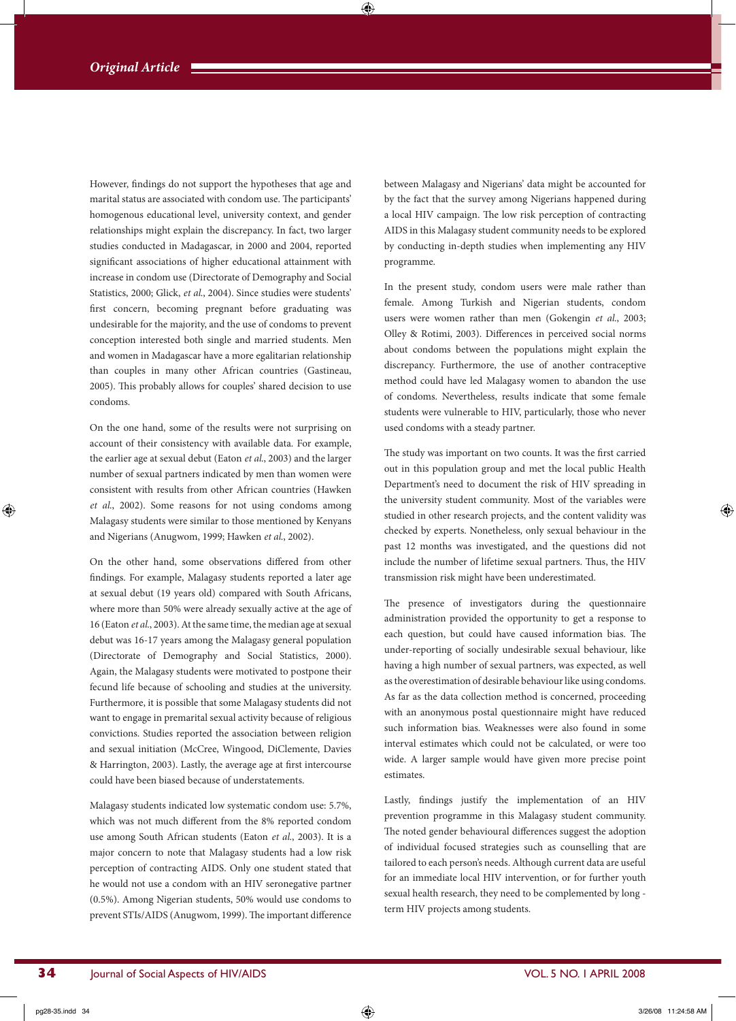However, findings do not support the hypotheses that age and marital status are associated with condom use. The participants' homogenous educational level, university context, and gender relationships might explain the discrepancy. In fact, two larger studies conducted in Madagascar, in 2000 and 2004, reported significant associations of higher educational attainment with increase in condom use (Directorate of Demography and Social Statistics, 2000; Glick, *et al*., 2004). Since studies were students' first concern, becoming pregnant before graduating was undesirable for the majority, and the use of condoms to prevent conception interested both single and married students. Men and women in Madagascar have a more egalitarian relationship than couples in many other African countries (Gastineau, 2005). This probably allows for couples' shared decision to use condoms.

On the one hand, some of the results were not surprising on account of their consistency with available data. For example, the earlier age at sexual debut (Eaton *et al*., 2003) and the larger number of sexual partners indicated by men than women were consistent with results from other African countries (Hawken *et al*., 2002). Some reasons for not using condoms among Malagasy students were similar to those mentioned by Kenyans and Nigerians (Anugwom, 1999; Hawken *et al*., 2002).

On the other hand, some observations differed from other findings. For example, Malagasy students reported a later age at sexual debut (19 years old) compared with South Africans, where more than 50% were already sexually active at the age of 16 (Eaton *et al*., 2003). At the same time, the median age at sexual debut was 16-17 years among the Malagasy general population (Directorate of Demography and Social Statistics, 2000). Again, the Malagasy students were motivated to postpone their fecund life because of schooling and studies at the university. Furthermore, it is possible that some Malagasy students did not want to engage in premarital sexual activity because of religious convictions. Studies reported the association between religion and sexual initiation (McCree, Wingood, DiClemente, Davies & Harrington, 2003). Lastly, the average age at first intercourse could have been biased because of understatements.

Malagasy students indicated low systematic condom use: 5.7%, which was not much different from the 8% reported condom use among South African students (Eaton *et al*., 2003). It is a major concern to note that Malagasy students had a low risk perception of contracting AIDS. Only one student stated that he would not use a condom with an HIV seronegative partner (0.5%). Among Nigerian students, 50% would use condoms to prevent STIs/AIDS (Anugwom, 1999). The important difference between Malagasy and Nigerians' data might be accounted for by the fact that the survey among Nigerians happened during a local HIV campaign. The low risk perception of contracting AIDS in this Malagasy student community needs to be explored by conducting in-depth studies when implementing any HIV programme.

⊕

In the present study, condom users were male rather than female. Among Turkish and Nigerian students, condom users were women rather than men (Gokengin *et al*., 2003; Olley & Rotimi, 2003). Differences in perceived social norms about condoms between the populations might explain the discrepancy. Furthermore, the use of another contraceptive method could have led Malagasy women to abandon the use of condoms. Nevertheless, results indicate that some female students were vulnerable to HIV, particularly, those who never used condoms with a steady partner.

The study was important on two counts. It was the first carried out in this population group and met the local public Health Department's need to document the risk of HIV spreading in the university student community. Most of the variables were studied in other research projects, and the content validity was checked by experts. Nonetheless, only sexual behaviour in the past 12 months was investigated, and the questions did not include the number of lifetime sexual partners. Thus, the HIV transmission risk might have been underestimated.

The presence of investigators during the questionnaire administration provided the opportunity to get a response to each question, but could have caused information bias. The under-reporting of socially undesirable sexual behaviour, like having a high number of sexual partners, was expected, as well as the overestimation of desirable behaviour like using condoms. As far as the data collection method is concerned, proceeding with an anonymous postal questionnaire might have reduced such information bias. Weaknesses were also found in some interval estimates which could not be calculated, or were too wide. A larger sample would have given more precise point estimates.

Lastly, findings justify the implementation of an HIV prevention programme in this Malagasy student community. The noted gender behavioural differences suggest the adoption of individual focused strategies such as counselling that are tailored to each person's needs. Although current data are useful for an immediate local HIV intervention, or for further youth sexual health research, they need to be complemented by long term HIV projects among students.